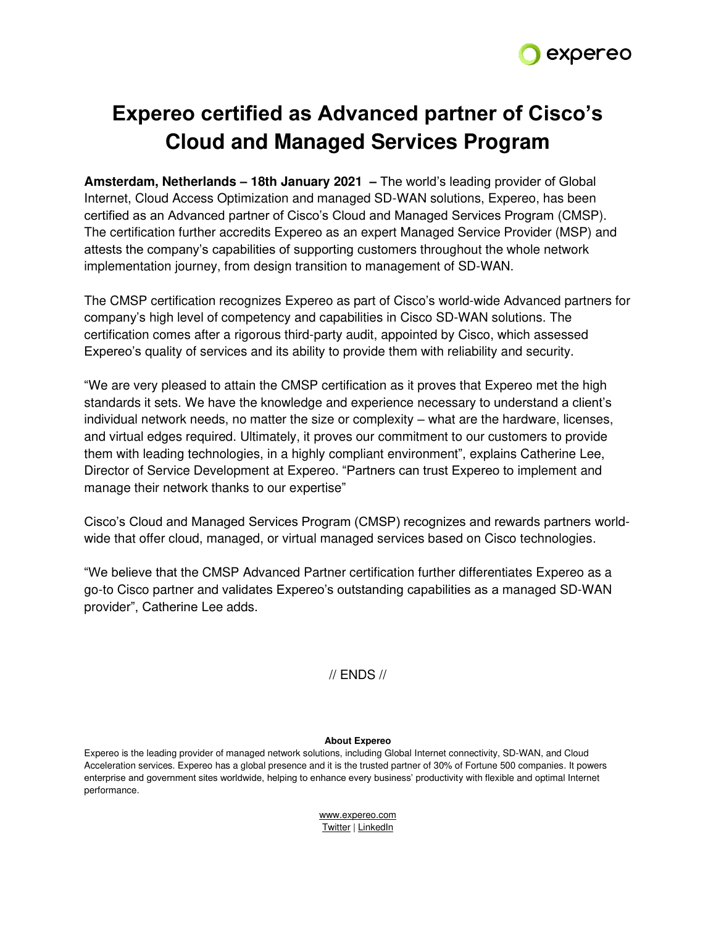

# **Expereo certified as Advanced partner of Cisco's Cloud and Managed Services Program**

**Amsterdam, Netherlands – 18th January 2021 –** The world's leading provider of Global Internet, Cloud Access Optimization and managed SD-WAN solutions, Expereo, has been certified as an Advanced partner of Cisco's Cloud and Managed Services Program (CMSP). The certification further accredits Expereo as an expert Managed Service Provider (MSP) and attests the company's capabilities of supporting customers throughout the whole network implementation journey, from design transition to management of SD-WAN.

The CMSP certification recognizes Expereo as part of Cisco's world-wide Advanced partners for company's high level of competency and capabilities in Cisco SD-WAN solutions. The certification comes after a rigorous third-party audit, appointed by Cisco, which assessed Expereo's quality of services and its ability to provide them with reliability and security.

"We are very pleased to attain the CMSP certification as it proves that Expereo met the high standards it sets. We have the knowledge and experience necessary to understand a client's individual network needs, no matter the size or complexity – what are the hardware, licenses, and virtual edges required. Ultimately, it proves our commitment to our customers to provide them with leading technologies, in a highly compliant environment", explains Catherine Lee, Director of Service Development at Expereo. "Partners can trust Expereo to implement and manage their network thanks to our expertise"

Cisco's Cloud and Managed Services Program (CMSP) recognizes and rewards partners worldwide that offer cloud, managed, or virtual managed services based on Cisco technologies.

"We believe that the CMSP Advanced Partner certification further differentiates Expereo as a go-to Cisco partner and validates Expereo's outstanding capabilities as a managed SD-WAN provider", Catherine Lee adds.

# // ENDS //

## **About Expereo**

Expereo is the leading provider of managed network solutions, including Global Internet connectivity, SD-WAN, and Cloud Acceleration services. Expereo has a global presence and it is the trusted partner of 30% of Fortune 500 companies. It powers enterprise and government sites worldwide, helping to enhance every business' productivity with flexible and optimal Internet performance.

> [www.expereo.com](http://www.expereo.com/) [Twitter](https://twitter.com/expereo) [| LinkedIn](https://www.linkedin.com/company/expereo)